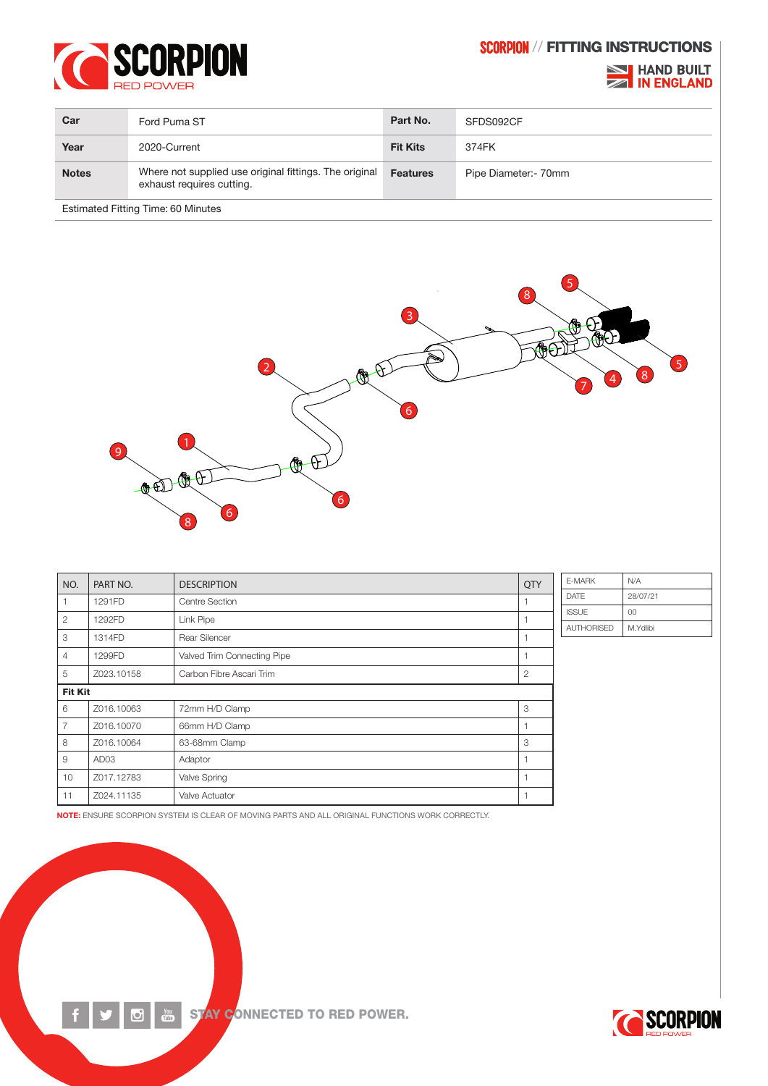

## SCORPION // FITTING INSTRUCTIONS

## **NORTHAND BUILT<br>AND ENGLAND**

| Car                                       | Ford Puma ST                                                                        | Part No.        | SFDS092CF             |  |  |  |
|-------------------------------------------|-------------------------------------------------------------------------------------|-----------------|-----------------------|--|--|--|
| Year                                      | 2020-Current                                                                        | <b>Fit Kits</b> | 374FK                 |  |  |  |
| <b>Notes</b>                              | Where not supplied use original fittings. The original<br>exhaust requires cutting. | <b>Features</b> | Pipe Diameter: - 70mm |  |  |  |
| <b>Estimated Fitting Time: 60 Minutes</b> |                                                                                     |                 |                       |  |  |  |



| NO.            | PART NO.         | <b>DESCRIPTION</b>          | <b>QTY</b>     | E-MAF        |
|----------------|------------------|-----------------------------|----------------|--------------|
| 1              | 1291FD           | Centre Section              |                | <b>DATE</b>  |
| $\overline{2}$ | 1292FD           | <b>Link Pipe</b>            |                | <b>ISSUE</b> |
| 3              | 1314FD           | Rear Silencer               |                | <b>AUTH</b>  |
| $\overline{4}$ | 1299FD           | Valved Trim Connecting Pipe |                |              |
| 5              | Z023.10158       | Carbon Fibre Ascari Trim    | $\overline{2}$ |              |
| <b>Fit Kit</b> |                  |                             |                |              |
| 6              | Z016.10063       | 72mm H/D Clamp              | 3              |              |
| $\overline{7}$ | Z016.10070       | 66mm H/D Clamp              |                |              |
| 8              | Z016.10064       | 63-68mm Clamp               | 3              |              |
| 9              | AD <sub>03</sub> | Adaptor                     | 1              |              |
| 10             | Z017.12783       | Valve Spring                | 1              |              |
| 11             | Z024.11135       | Valve Actuator              |                |              |

| F-MARK       | N/A      |
|--------------|----------|
| <b>DATF</b>  | 28/07/21 |
| <b>ISSUE</b> | n        |
| AUTHORISED   | M.Ydlibi |

NOTE: ENSURE SCORPION SYSTEM IS CLEAR OF MOVING PARTS AND ALL ORIGINAL FUNCTIONS WORK CORRECTLY.



 $\overline{\mathbf{C}}$